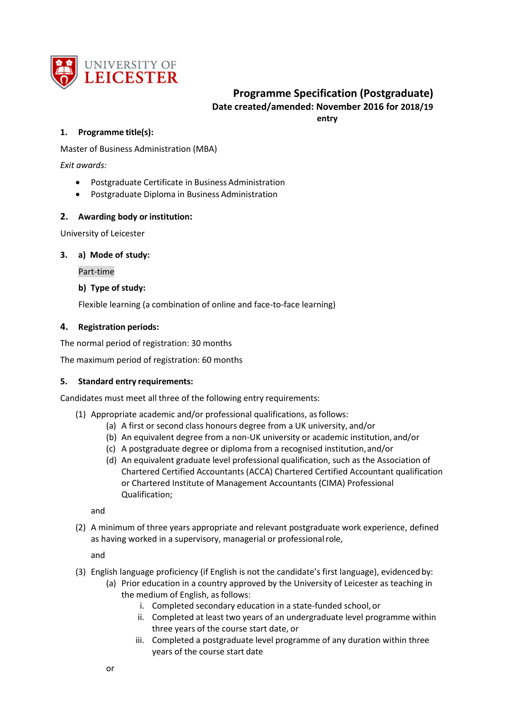

## **Programme Specification (Postgraduate) Date created/amended: November 2016 for 2018/19 entry**

## **1. Programme title(s):**

Master of Business Administration (MBA)

*Exit awards:*

- Postgraduate Certificate in Business Administration
- Postgraduate Diploma in Business Administration

## **2. Awarding body or institution:**

University of Leicester

### **3. a) Mode of study:**

Part-time

## **b) Type of study:**

Flexible learning (a combination of online and face-to-face learning)

## **4. Registration periods:**

The normal period of registration: 30 months

The maximum period of registration: 60 months

### **5. Standard entry requirements:**

Candidates must meet all three of the following entry requirements:

- (1) Appropriate academic and/or professional qualifications, asfollows:
	- (a) A first or second class honours degree from a UK university, and/or
	- (b) An equivalent degree from a non-UK university or academic institution, and/or
	- (c) A postgraduate degree or diploma from a recognised institution,and/or
	- (d) An equivalent graduate level professional qualification, such as the Association of Chartered Certified Accountants (ACCA) Chartered Certified Accountant qualification or Chartered Institute of Management Accountants (CIMA) Professional Qualification;

and

(2) A minimum of three years appropriate and relevant postgraduate work experience, defined as having worked in a supervisory, managerial or professional role,

and

- (3) English language proficiency (if English is not the candidate's first language), evidenced by:
	- (a) Prior education in a country approved by the University of Leicester as teaching in the medium of English, as follows:
		- i. Completed secondary education in a state-funded school, or
		- ii. Completed at least two years of an undergraduate level programme within three years of the course start date, or
		- iii. Completed a postgraduate level programme of any duration within three years of the course start date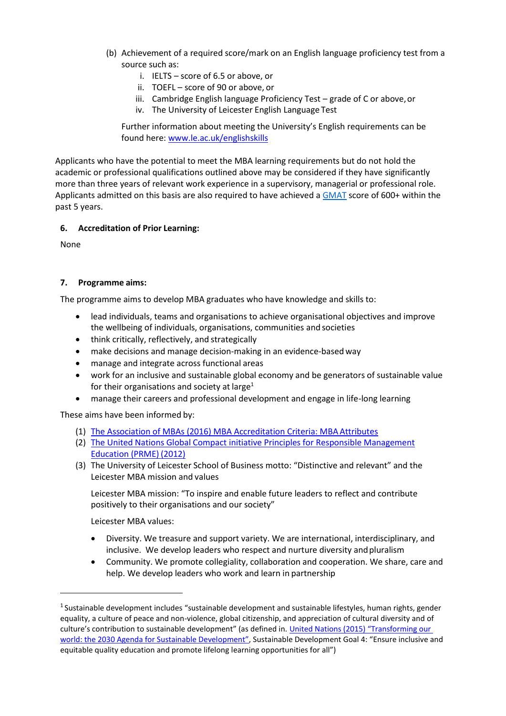- (b) Achievement of a required score/mark on an English language proficiency test from a source such as:
	- i. IELTS score of 6.5 or above, or
	- ii. TOEFL score of 90 or above, or
	- iii. Cambridge English language Proficiency Test grade of C or above, or
	- iv. The University of Leicester English Language Test

Further information about meeting the University's English requirements can be found here: [www.le.ac.uk/englishskills](http://www.le.ac.uk/englishskills)

Applicants who have the potential to meet the MBA learning requirements but do not hold the academic or professional qualifications outlined above may be considered if they have significantly more than three years of relevant work experience in a supervisory, managerial or professional role. Applicants admitted on this basis are also required to have achieved [a GMAT](http://www.mba.com/global) score of 600+ within the past 5 years.

## **6. Accreditation of Prior Learning:**

None

## **7. Programme aims:**

The programme aims to develop MBA graduates who have knowledge and skills to:

- lead individuals, teams and organisations to achieve organisational objectives and improve the wellbeing of individuals, organisations, communities and societies
- think critically, reflectively, and strategically
- make decisions and manage decision-making in an evidence-based way
- manage and integrate across functional areas
- work for an inclusive and sustainable global economy and be generators of sustainable value for their organisations and society at large<sup>1</sup>
- manage their careers and professional development and engage in life-long learning

These aims have been informed by:

- (1) [The Association of MBAs \(2016\) MBA Accreditation Criteria: MBA](http://www.mbaworld.com/~/media/Files/Accreditation/MBA-criteria-for-accreditation.ashx) Attributes
- (2) [The United Nations Global Compact initiative Principles for Responsible Management](https://www.unglobalcompact.org/docs/issues_doc/PRME/PRME-Info_2012.pdf)  [Education \(PRME\)](https://www.unglobalcompact.org/docs/issues_doc/PRME/PRME-Info_2012.pdf) (2012)
- (3) The University of Leicester School of Business motto: "Distinctive and relevant" and the Leicester MBA mission and values

Leicester MBA mission: "To inspire and enable future leaders to reflect and contribute positively to their organisations and our society"

Leicester MBA values:

- Diversity. We treasure and support variety. We are international, interdisciplinary, and inclusive. We develop leaders who respect and nurture diversity and pluralism
- Community. We promote collegiality, collaboration and cooperation. We share, care and help. We develop leaders who work and learn in partnership

<sup>&</sup>lt;sup>1</sup> Sustainable development includes "sustainable development and sustainable lifestyles, human rights, gender equality, a culture of peace and non-violence, global citizenship, and appreciation of cultural diversity and of culture's contribution to sustainable development" (as defined in[. United Nations \(2015\) "Transforming our](https://sustainabledevelopment.un.org/post2015/transformingourworld) [world: the 2030 Agenda for Sustainable Devel](https://sustainabledevelopment.un.org/post2015/transformingourworld)opment", Sustainable Development Goal 4: "Ensure inclusive and equitable quality education and promote lifelong learning opportunities for all")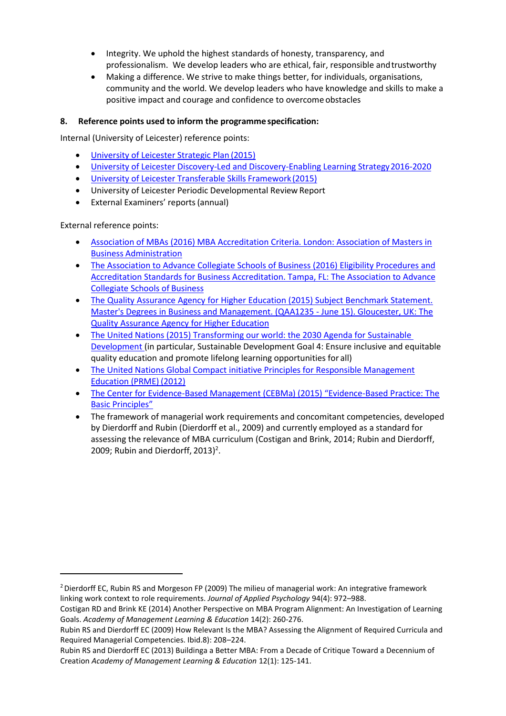- Integrity. We uphold the highest standards of honesty, transparency, and professionalism. We develop leaders who are ethical, fair, responsible andtrustworthy
- Making a difference. We strive to make things better, for individuals, organisations, community and the world. We develop leaders who have knowledge and skills to make a positive impact and courage and confidence to overcome obstacles

## **8. Reference points used to inform the programme specification:**

Internal (University of Leicester) reference points:

- [University of Leicester Strategic Plan](https://le.ac.uk/about-us/university-of-leicester-strategic-plan) (2015)
- University of Leicester Discovery-Led and Discovery-Enabling Learning Strategy 2016-2020
- [University of Leicester Transferable Skills Framework](https://www2.le.ac.uk/offices/careers-new/information/cds/transferable-skills/transferable-skills-framework/TSFv12October2015.pdf) (2015)
- University of Leicester Periodic Developmental Review Report
- External Examiners' reports(annual)

External reference points:

- [Association of MBAs \(2016\) MBA Accreditation Criteria. London: Association of Masters in](http://www.mbaworld.com/~/media/Files/Accreditation/MBA-criteria-for-accreditation.ashx)  Business [Administration](http://www.mbaworld.com/~/media/Files/Accreditation/MBA-criteria-for-accreditation.ashx)
- [The Association to Advance Collegiate Schools of Business \(2016\) Eligibility Procedures and](http://www.aacsb.edu/~/media/AACSB/Docs/Accreditation/Standards/2013-bus-standards-update.ashx)  [Accreditation Standards for Business Accreditation. Tampa, FL: The Association to Advance](http://www.aacsb.edu/~/media/AACSB/Docs/Accreditation/Standards/2013-bus-standards-update.ashx)  [Collegiate Schools of](http://www.aacsb.edu/~/media/AACSB/Docs/Accreditation/Standards/2013-bus-standards-update.ashx) Business
- [The Quality Assurance Agency for Higher Education \(2015\) Subject Benchmark Statement.](http://www.qaa.ac.uk/en/Publications/Documents/SBS-Business-and%20Management-15.pdf)  [Master's Degrees in Business and Management. \(QAA1235 -](http://www.qaa.ac.uk/en/Publications/Documents/SBS-Business-and%20Management-15.pdf) June 15). Gloucester, UK: The [Quality Assurance Agency for Higher](http://www.qaa.ac.uk/en/Publications/Documents/SBS-Business-and%20Management-15.pdf) Education
- [The United Nations \(2015\) Transforming our world: the 2030 Agenda for Sustainable](https://sustainabledevelopment.un.org/post2015/transformingourworld)  [Development \(](https://sustainabledevelopment.un.org/post2015/transformingourworld)in particular, Sustainable Development Goal 4: Ensure inclusive and equitable quality education and promote lifelong learning opportunities for all)
- [The United Nations Global Compact initiative Principles for Responsible Management](https://www.unglobalcompact.org/docs/issues_doc/PRME/PRME-Info_2012.pdf)  [Education \(PRME\)](https://www.unglobalcompact.org/docs/issues_doc/PRME/PRME-Info_2012.pdf) (2012)
- The Center for Evidence-[Based Management \(CEBMa\) \(2015\) "Evidence](http://www.cebma.org/wp-content/uploads/Evidence-Based-Practice-The-Basic-Principles-vs-Dec-2015.pdf)-Based Practice: The [Basic Principles"](http://www.cebma.org/wp-content/uploads/Evidence-Based-Practice-The-Basic-Principles-vs-Dec-2015.pdf)
- The framework of managerial work requirements and concomitant competencies, developed by Dierdorff and Rubin (Dierdorff et al., 2009) and currently employed as a standard for assessing the relevance of MBA curriculum (Costigan and Brink, 2014; Rubin and Dierdorff, 2009; Rubin and Dierdorff, 2013)<sup>2</sup>.

<sup>&</sup>lt;sup>2</sup> Dierdorff EC, Rubin RS and Morgeson FP (2009) The milieu of managerial work: An integrative framework linking work context to role requirements. *Journal of Applied Psychology* 94(4): 972–988.

Costigan RD and Brink KE (2014) Another Perspective on MBA Program Alignment: An Investigation of Learning Goals. *Academy of Management Learning & Education* 14(2): 260-276.

Rubin RS and Dierdorff EC (2009) How Relevant Is the MBA? Assessing the Alignment of Required Curricula and Required Managerial Competencies. Ibid.8): 208–224.

Rubin RS and Dierdorff EC (2013) Buildinga a Better MBA: From a Decade of Critique Toward a Decennium of Creation *Academy of Management Learning & Education* 12(1): 125-141.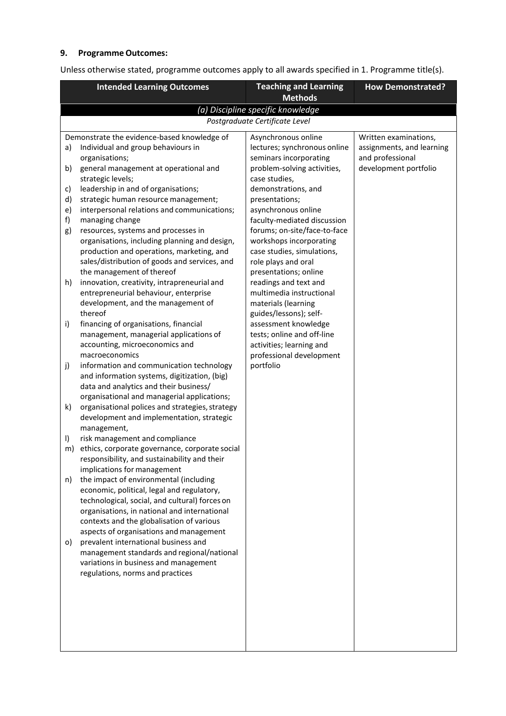# **9. Programme Outcomes:**

Unless otherwise stated, programme outcomes apply to all awards specified in 1. Programme title(s).

| <b>Intended Learning Outcomes</b> |                                                                                                | <b>Teaching and Learning</b>                   | <b>How Demonstrated?</b>  |
|-----------------------------------|------------------------------------------------------------------------------------------------|------------------------------------------------|---------------------------|
|                                   |                                                                                                | <b>Methods</b>                                 |                           |
|                                   |                                                                                                | (a) Discipline specific knowledge              |                           |
|                                   |                                                                                                | Postgraduate Certificate Level                 |                           |
|                                   | Demonstrate the evidence-based knowledge of                                                    | Asynchronous online                            | Written examinations,     |
| a)                                | Individual and group behaviours in                                                             | lectures; synchronous online                   | assignments, and learning |
|                                   | organisations;                                                                                 | seminars incorporating                         | and professional          |
| b)                                | general management at operational and                                                          | problem-solving activities,                    | development portfolio     |
| c)                                | strategic levels;<br>leadership in and of organisations;                                       | case studies,<br>demonstrations, and           |                           |
| d)                                | strategic human resource management;                                                           | presentations;                                 |                           |
| e)                                | interpersonal relations and communications;                                                    | asynchronous online                            |                           |
| f)                                | managing change                                                                                | faculty-mediated discussion                    |                           |
| g)                                | resources, systems and processes in                                                            | forums; on-site/face-to-face                   |                           |
|                                   | organisations, including planning and design,                                                  | workshops incorporating                        |                           |
|                                   | production and operations, marketing, and                                                      | case studies, simulations,                     |                           |
|                                   | sales/distribution of goods and services, and                                                  | role plays and oral                            |                           |
|                                   | the management of thereof                                                                      | presentations; online                          |                           |
| h)                                | innovation, creativity, intrapreneurial and                                                    | readings and text and                          |                           |
|                                   | entrepreneurial behaviour, enterprise                                                          | multimedia instructional                       |                           |
|                                   | development, and the management of                                                             | materials (learning                            |                           |
| i)                                | thereof<br>financing of organisations, financial                                               | guides/lessons); self-<br>assessment knowledge |                           |
|                                   | management, managerial applications of                                                         | tests; online and off-line                     |                           |
|                                   | accounting, microeconomics and                                                                 | activities; learning and                       |                           |
|                                   | macroeconomics                                                                                 | professional development                       |                           |
| j)                                | information and communication technology                                                       | portfolio                                      |                           |
|                                   | and information systems, digitization, (big)                                                   |                                                |                           |
|                                   | data and analytics and their business/                                                         |                                                |                           |
|                                   | organisational and managerial applications;                                                    |                                                |                           |
| k)                                | organisational polices and strategies, strategy                                                |                                                |                           |
|                                   | development and implementation, strategic                                                      |                                                |                           |
|                                   | management,                                                                                    |                                                |                           |
| $\vert$                           | risk management and compliance                                                                 |                                                |                           |
| m)                                | ethics, corporate governance, corporate social<br>responsibility, and sustainability and their |                                                |                           |
|                                   | implications for management                                                                    |                                                |                           |
| n)                                | the impact of environmental (including                                                         |                                                |                           |
|                                   | economic, political, legal and regulatory,                                                     |                                                |                           |
|                                   | technological, social, and cultural) forces on                                                 |                                                |                           |
|                                   | organisations, in national and international                                                   |                                                |                           |
|                                   | contexts and the globalisation of various                                                      |                                                |                           |
|                                   | aspects of organisations and management                                                        |                                                |                           |
| o)                                | prevalent international business and                                                           |                                                |                           |
|                                   | management standards and regional/national                                                     |                                                |                           |
|                                   | variations in business and management                                                          |                                                |                           |
|                                   | regulations, norms and practices                                                               |                                                |                           |
|                                   |                                                                                                |                                                |                           |
|                                   |                                                                                                |                                                |                           |
|                                   |                                                                                                |                                                |                           |
|                                   |                                                                                                |                                                |                           |
|                                   |                                                                                                |                                                |                           |
|                                   |                                                                                                |                                                |                           |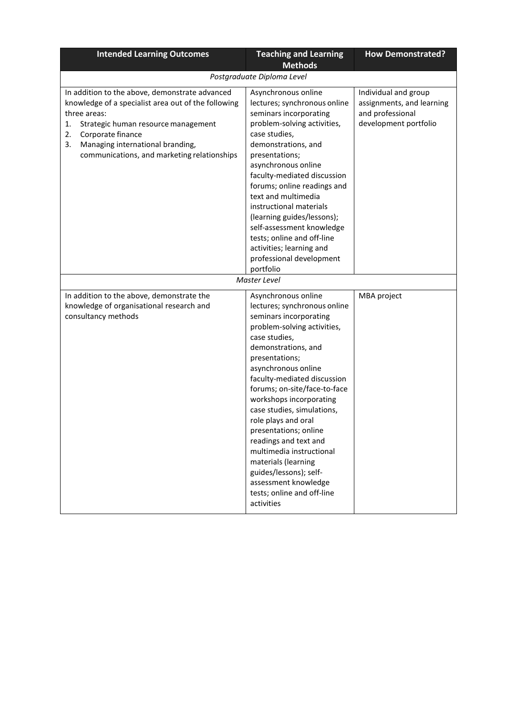| <b>Intended Learning Outcomes</b>                                                                                                                                                                                                                                                      | <b>Teaching and Learning</b>                                                                                                                                                                                                                                                                                                                                                                                                                                                                                                                    | <b>How Demonstrated?</b>                                                                       |
|----------------------------------------------------------------------------------------------------------------------------------------------------------------------------------------------------------------------------------------------------------------------------------------|-------------------------------------------------------------------------------------------------------------------------------------------------------------------------------------------------------------------------------------------------------------------------------------------------------------------------------------------------------------------------------------------------------------------------------------------------------------------------------------------------------------------------------------------------|------------------------------------------------------------------------------------------------|
|                                                                                                                                                                                                                                                                                        | <b>Methods</b>                                                                                                                                                                                                                                                                                                                                                                                                                                                                                                                                  |                                                                                                |
|                                                                                                                                                                                                                                                                                        | Postgraduate Diploma Level                                                                                                                                                                                                                                                                                                                                                                                                                                                                                                                      |                                                                                                |
| In addition to the above, demonstrate advanced<br>knowledge of a specialist area out of the following<br>three areas:<br>1.<br>Strategic human resource management<br>Corporate finance<br>2.<br>Managing international branding,<br>3.<br>communications, and marketing relationships | Asynchronous online<br>lectures; synchronous online<br>seminars incorporating<br>problem-solving activities,<br>case studies,<br>demonstrations, and<br>presentations;<br>asynchronous online<br>faculty-mediated discussion<br>forums; online readings and<br>text and multimedia<br>instructional materials<br>(learning guides/lessons);<br>self-assessment knowledge<br>tests; online and off-line<br>activities; learning and<br>professional development<br>portfolio                                                                     | Individual and group<br>assignments, and learning<br>and professional<br>development portfolio |
|                                                                                                                                                                                                                                                                                        | Master Level                                                                                                                                                                                                                                                                                                                                                                                                                                                                                                                                    |                                                                                                |
| In addition to the above, demonstrate the<br>knowledge of organisational research and<br>consultancy methods                                                                                                                                                                           | Asynchronous online<br>lectures; synchronous online<br>seminars incorporating<br>problem-solving activities,<br>case studies,<br>demonstrations, and<br>presentations;<br>asynchronous online<br>faculty-mediated discussion<br>forums; on-site/face-to-face<br>workshops incorporating<br>case studies, simulations,<br>role plays and oral<br>presentations; online<br>readings and text and<br>multimedia instructional<br>materials (learning<br>guides/lessons); self-<br>assessment knowledge<br>tests; online and off-line<br>activities | MBA project                                                                                    |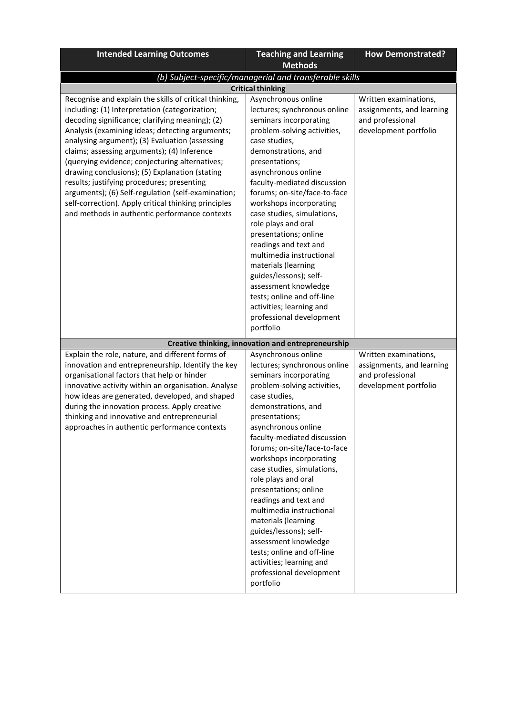| <b>Intended Learning Outcomes</b>                                                                                                                                                                                                                                                                                                                                                                                                                                                                                                                                                                                                | <b>Teaching and Learning</b>                                                                                                                                                                                                                                                                                                                                                                                                                                                                                                                                                                           | <b>How Demonstrated?</b>                                                                        |
|----------------------------------------------------------------------------------------------------------------------------------------------------------------------------------------------------------------------------------------------------------------------------------------------------------------------------------------------------------------------------------------------------------------------------------------------------------------------------------------------------------------------------------------------------------------------------------------------------------------------------------|--------------------------------------------------------------------------------------------------------------------------------------------------------------------------------------------------------------------------------------------------------------------------------------------------------------------------------------------------------------------------------------------------------------------------------------------------------------------------------------------------------------------------------------------------------------------------------------------------------|-------------------------------------------------------------------------------------------------|
|                                                                                                                                                                                                                                                                                                                                                                                                                                                                                                                                                                                                                                  | <b>Methods</b>                                                                                                                                                                                                                                                                                                                                                                                                                                                                                                                                                                                         |                                                                                                 |
|                                                                                                                                                                                                                                                                                                                                                                                                                                                                                                                                                                                                                                  | (b) Subject-specific/managerial and transferable skills                                                                                                                                                                                                                                                                                                                                                                                                                                                                                                                                                |                                                                                                 |
|                                                                                                                                                                                                                                                                                                                                                                                                                                                                                                                                                                                                                                  | <b>Critical thinking</b>                                                                                                                                                                                                                                                                                                                                                                                                                                                                                                                                                                               |                                                                                                 |
| Recognise and explain the skills of critical thinking,<br>including: (1) Interpretation (categorization;<br>decoding significance; clarifying meaning); (2)<br>Analysis (examining ideas; detecting arguments;<br>analysing argument); (3) Evaluation (assessing<br>claims; assessing arguments); (4) Inference<br>(querying evidence; conjecturing alternatives;<br>drawing conclusions); (5) Explanation (stating<br>results; justifying procedures; presenting<br>arguments); (6) Self-regulation (self-examination;<br>self-correction). Apply critical thinking principles<br>and methods in authentic performance contexts | Asynchronous online<br>lectures; synchronous online<br>seminars incorporating<br>problem-solving activities,<br>case studies,<br>demonstrations, and<br>presentations;<br>asynchronous online<br>faculty-mediated discussion<br>forums; on-site/face-to-face<br>workshops incorporating<br>case studies, simulations,<br>role plays and oral<br>presentations; online<br>readings and text and<br>multimedia instructional<br>materials (learning<br>guides/lessons); self-<br>assessment knowledge<br>tests; online and off-line<br>activities; learning and<br>professional development<br>portfolio | Written examinations,<br>assignments, and learning<br>and professional<br>development portfolio |
|                                                                                                                                                                                                                                                                                                                                                                                                                                                                                                                                                                                                                                  | Creative thinking, innovation and entrepreneurship                                                                                                                                                                                                                                                                                                                                                                                                                                                                                                                                                     |                                                                                                 |
| Explain the role, nature, and different forms of<br>innovation and entrepreneurship. Identify the key<br>organisational factors that help or hinder<br>innovative activity within an organisation. Analyse<br>how ideas are generated, developed, and shaped<br>during the innovation process. Apply creative<br>thinking and innovative and entrepreneurial<br>approaches in authentic performance contexts                                                                                                                                                                                                                     | Asynchronous online<br>lectures; synchronous online<br>seminars incorporating<br>problem-solving activities,<br>case studies,<br>demonstrations, and<br>presentations;<br>asynchronous online<br>faculty-mediated discussion<br>forums; on-site/face-to-face<br>workshops incorporating<br>case studies, simulations,<br>role plays and oral<br>presentations; online<br>readings and text and<br>multimedia instructional<br>materials (learning<br>guides/lessons); self-<br>assessment knowledge<br>tests; online and off-line<br>activities; learning and<br>professional development<br>portfolio | Written examinations,<br>assignments, and learning<br>and professional<br>development portfolio |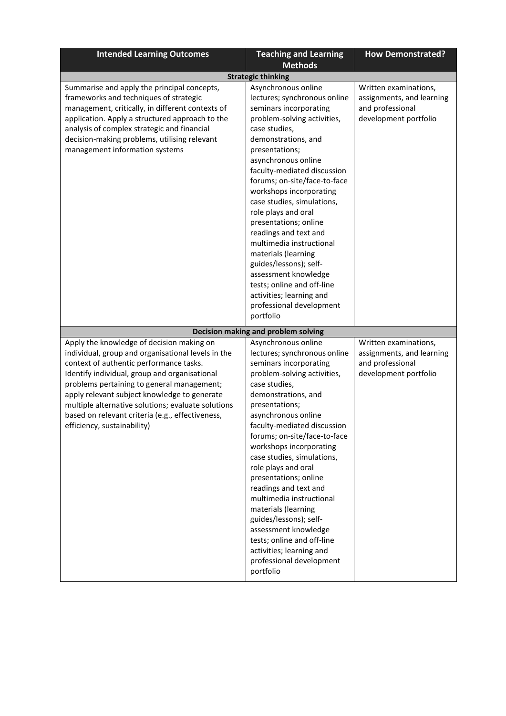| <b>Intended Learning Outcomes</b>                                                                                                                                                                                                                                                                                                                                                                                                  | <b>Teaching and Learning</b>                                                                                                                                                                                                                                                                                                                                                                                                                                                                                                                                                                                                                  | <b>How Demonstrated?</b>                                                                        |
|------------------------------------------------------------------------------------------------------------------------------------------------------------------------------------------------------------------------------------------------------------------------------------------------------------------------------------------------------------------------------------------------------------------------------------|-----------------------------------------------------------------------------------------------------------------------------------------------------------------------------------------------------------------------------------------------------------------------------------------------------------------------------------------------------------------------------------------------------------------------------------------------------------------------------------------------------------------------------------------------------------------------------------------------------------------------------------------------|-------------------------------------------------------------------------------------------------|
|                                                                                                                                                                                                                                                                                                                                                                                                                                    | <b>Methods</b>                                                                                                                                                                                                                                                                                                                                                                                                                                                                                                                                                                                                                                |                                                                                                 |
|                                                                                                                                                                                                                                                                                                                                                                                                                                    | <b>Strategic thinking</b>                                                                                                                                                                                                                                                                                                                                                                                                                                                                                                                                                                                                                     |                                                                                                 |
| Summarise and apply the principal concepts,<br>frameworks and techniques of strategic<br>management, critically, in different contexts of<br>application. Apply a structured approach to the<br>analysis of complex strategic and financial<br>decision-making problems, utilising relevant<br>management information systems                                                                                                      | Asynchronous online<br>lectures; synchronous online<br>seminars incorporating<br>problem-solving activities,<br>case studies,<br>demonstrations, and<br>presentations;<br>asynchronous online<br>faculty-mediated discussion<br>forums; on-site/face-to-face<br>workshops incorporating<br>case studies, simulations,<br>role plays and oral<br>presentations; online<br>readings and text and<br>multimedia instructional<br>materials (learning<br>guides/lessons); self-<br>assessment knowledge<br>tests; online and off-line<br>activities; learning and<br>professional development<br>portfolio                                        | Written examinations,<br>assignments, and learning<br>and professional<br>development portfolio |
|                                                                                                                                                                                                                                                                                                                                                                                                                                    |                                                                                                                                                                                                                                                                                                                                                                                                                                                                                                                                                                                                                                               |                                                                                                 |
| Apply the knowledge of decision making on<br>individual, group and organisational levels in the<br>context of authentic performance tasks.<br>Identify individual, group and organisational<br>problems pertaining to general management;<br>apply relevant subject knowledge to generate<br>multiple alternative solutions; evaluate solutions<br>based on relevant criteria (e.g., effectiveness,<br>efficiency, sustainability) | Decision making and problem solving<br>Asynchronous online<br>lectures; synchronous online<br>seminars incorporating<br>problem-solving activities,<br>case studies,<br>demonstrations, and<br>presentations;<br>asynchronous online<br>faculty-mediated discussion<br>forums; on-site/face-to-face<br>workshops incorporating<br>case studies, simulations,<br>role plays and oral<br>presentations; online<br>readings and text and<br>multimedia instructional<br>materials (learning<br>guides/lessons); self-<br>assessment knowledge<br>tests; online and off-line<br>activities; learning and<br>professional development<br>portfolio | Written examinations,<br>assignments, and learning<br>and professional<br>development portfolio |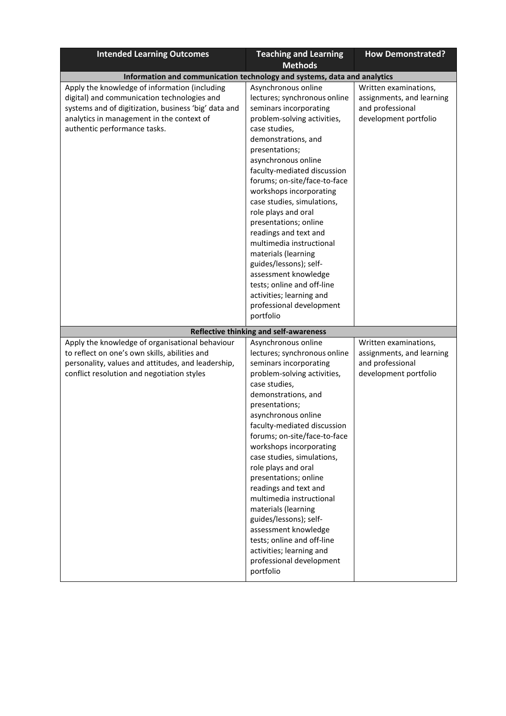| <b>Intended Learning Outcomes</b>                                                                                                                                                                                                 | <b>Teaching and Learning</b>                                                                                                                                                                                                                                                                                                                                                                                                                                                                                                                                                                           | <b>How Demonstrated?</b>                                                                        |
|-----------------------------------------------------------------------------------------------------------------------------------------------------------------------------------------------------------------------------------|--------------------------------------------------------------------------------------------------------------------------------------------------------------------------------------------------------------------------------------------------------------------------------------------------------------------------------------------------------------------------------------------------------------------------------------------------------------------------------------------------------------------------------------------------------------------------------------------------------|-------------------------------------------------------------------------------------------------|
|                                                                                                                                                                                                                                   | <b>Methods</b>                                                                                                                                                                                                                                                                                                                                                                                                                                                                                                                                                                                         |                                                                                                 |
| Information and communication technology and systems, data and analytics                                                                                                                                                          |                                                                                                                                                                                                                                                                                                                                                                                                                                                                                                                                                                                                        |                                                                                                 |
| Apply the knowledge of information (including<br>digital) and communication technologies and<br>systems and of digitization, business 'big' data and<br>analytics in management in the context of<br>authentic performance tasks. | Asynchronous online<br>lectures; synchronous online<br>seminars incorporating<br>problem-solving activities,<br>case studies,<br>demonstrations, and<br>presentations;<br>asynchronous online<br>faculty-mediated discussion<br>forums; on-site/face-to-face<br>workshops incorporating<br>case studies, simulations,<br>role plays and oral<br>presentations; online<br>readings and text and<br>multimedia instructional<br>materials (learning<br>guides/lessons); self-<br>assessment knowledge<br>tests; online and off-line<br>activities; learning and<br>professional development              | Written examinations,<br>assignments, and learning<br>and professional<br>development portfolio |
|                                                                                                                                                                                                                                   | portfolio                                                                                                                                                                                                                                                                                                                                                                                                                                                                                                                                                                                              |                                                                                                 |
|                                                                                                                                                                                                                                   | Reflective thinking and self-awareness                                                                                                                                                                                                                                                                                                                                                                                                                                                                                                                                                                 |                                                                                                 |
| Apply the knowledge of organisational behaviour<br>to reflect on one's own skills, abilities and<br>personality, values and attitudes, and leadership,<br>conflict resolution and negotiation styles                              | Asynchronous online<br>lectures; synchronous online<br>seminars incorporating<br>problem-solving activities,<br>case studies,<br>demonstrations, and<br>presentations;<br>asynchronous online<br>faculty-mediated discussion<br>forums; on-site/face-to-face<br>workshops incorporating<br>case studies, simulations,<br>role plays and oral<br>presentations; online<br>readings and text and<br>multimedia instructional<br>materials (learning<br>guides/lessons); self-<br>assessment knowledge<br>tests; online and off-line<br>activities; learning and<br>professional development<br>portfolio | Written examinations,<br>assignments, and learning<br>and professional<br>development portfolio |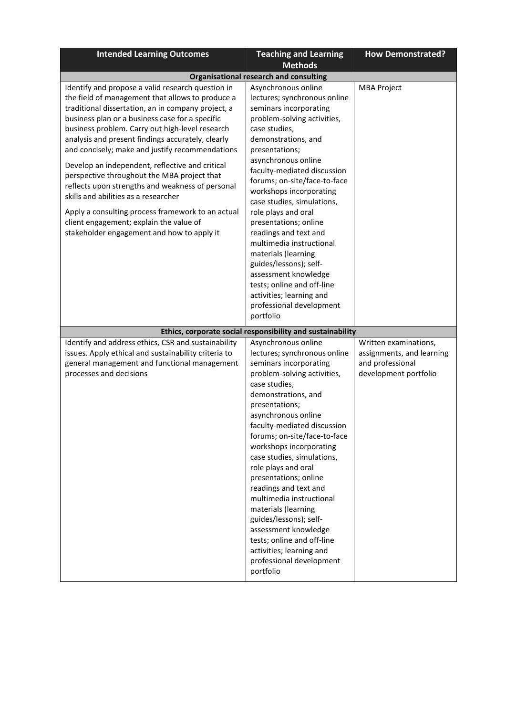| <b>Intended Learning Outcomes</b>                                                                                                                                                                                                                                                                                                                                                                                                                                                                                                                                                                                                                                                                                     | <b>Teaching and Learning</b>                                                                                                                                                                                                                                                                                                                                                                                                                                                                                                                                                                           | <b>How Demonstrated?</b>                                                                        |
|-----------------------------------------------------------------------------------------------------------------------------------------------------------------------------------------------------------------------------------------------------------------------------------------------------------------------------------------------------------------------------------------------------------------------------------------------------------------------------------------------------------------------------------------------------------------------------------------------------------------------------------------------------------------------------------------------------------------------|--------------------------------------------------------------------------------------------------------------------------------------------------------------------------------------------------------------------------------------------------------------------------------------------------------------------------------------------------------------------------------------------------------------------------------------------------------------------------------------------------------------------------------------------------------------------------------------------------------|-------------------------------------------------------------------------------------------------|
|                                                                                                                                                                                                                                                                                                                                                                                                                                                                                                                                                                                                                                                                                                                       | <b>Methods</b>                                                                                                                                                                                                                                                                                                                                                                                                                                                                                                                                                                                         |                                                                                                 |
|                                                                                                                                                                                                                                                                                                                                                                                                                                                                                                                                                                                                                                                                                                                       | <b>Organisational research and consulting</b>                                                                                                                                                                                                                                                                                                                                                                                                                                                                                                                                                          |                                                                                                 |
| Identify and propose a valid research question in<br>the field of management that allows to produce a<br>traditional dissertation, an in company project, a<br>business plan or a business case for a specific<br>business problem. Carry out high-level research<br>analysis and present findings accurately, clearly<br>and concisely; make and justify recommendations<br>Develop an independent, reflective and critical<br>perspective throughout the MBA project that<br>reflects upon strengths and weakness of personal<br>skills and abilities as a researcher<br>Apply a consulting process framework to an actual<br>client engagement; explain the value of<br>stakeholder engagement and how to apply it | Asynchronous online<br>lectures; synchronous online<br>seminars incorporating<br>problem-solving activities,<br>case studies,<br>demonstrations, and<br>presentations;<br>asynchronous online<br>faculty-mediated discussion<br>forums; on-site/face-to-face<br>workshops incorporating<br>case studies, simulations,<br>role plays and oral<br>presentations; online<br>readings and text and<br>multimedia instructional<br>materials (learning<br>guides/lessons); self-<br>assessment knowledge<br>tests; online and off-line<br>activities; learning and<br>professional development<br>portfolio | <b>MBA Project</b>                                                                              |
|                                                                                                                                                                                                                                                                                                                                                                                                                                                                                                                                                                                                                                                                                                                       |                                                                                                                                                                                                                                                                                                                                                                                                                                                                                                                                                                                                        |                                                                                                 |
|                                                                                                                                                                                                                                                                                                                                                                                                                                                                                                                                                                                                                                                                                                                       | Ethics, corporate social responsibility and sustainability                                                                                                                                                                                                                                                                                                                                                                                                                                                                                                                                             |                                                                                                 |
| Identify and address ethics, CSR and sustainability<br>issues. Apply ethical and sustainability criteria to<br>general management and functional management<br>processes and decisions                                                                                                                                                                                                                                                                                                                                                                                                                                                                                                                                | Asynchronous online<br>lectures; synchronous online<br>seminars incorporating<br>problem-solving activities,<br>case studies,<br>demonstrations, and<br>presentations;<br>asynchronous online<br>faculty-mediated discussion<br>forums; on-site/face-to-face<br>workshops incorporating<br>case studies, simulations,<br>role plays and oral<br>presentations; online<br>readings and text and<br>multimedia instructional<br>materials (learning<br>guides/lessons); self-<br>assessment knowledge<br>tests; online and off-line<br>activities; learning and<br>professional development<br>portfolio | Written examinations,<br>assignments, and learning<br>and professional<br>development portfolio |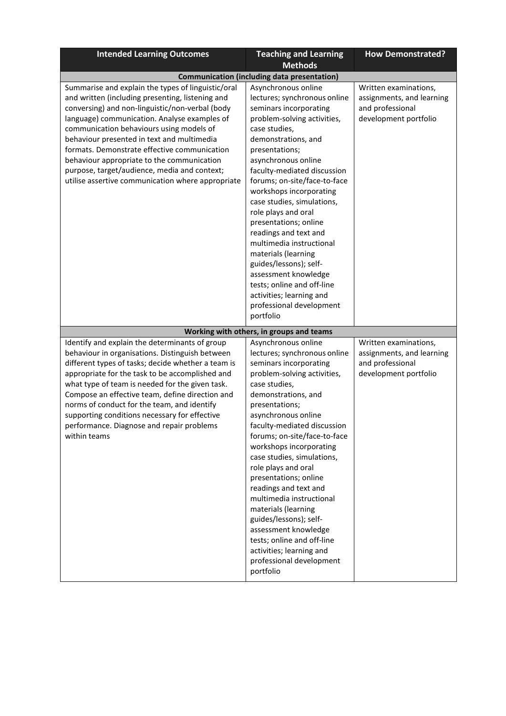| <b>Intended Learning Outcomes</b>                                                                                                                                                                                                                                                                                                                                                                                                                                                                      | <b>Teaching and Learning</b>                                                                                                                                                                                                                                                                                                                                                                                                                                                                                                                                                                           | <b>How Demonstrated?</b>                                                                        |
|--------------------------------------------------------------------------------------------------------------------------------------------------------------------------------------------------------------------------------------------------------------------------------------------------------------------------------------------------------------------------------------------------------------------------------------------------------------------------------------------------------|--------------------------------------------------------------------------------------------------------------------------------------------------------------------------------------------------------------------------------------------------------------------------------------------------------------------------------------------------------------------------------------------------------------------------------------------------------------------------------------------------------------------------------------------------------------------------------------------------------|-------------------------------------------------------------------------------------------------|
|                                                                                                                                                                                                                                                                                                                                                                                                                                                                                                        | <b>Methods</b>                                                                                                                                                                                                                                                                                                                                                                                                                                                                                                                                                                                         |                                                                                                 |
|                                                                                                                                                                                                                                                                                                                                                                                                                                                                                                        | <b>Communication (including data presentation)</b>                                                                                                                                                                                                                                                                                                                                                                                                                                                                                                                                                     |                                                                                                 |
| Summarise and explain the types of linguistic/oral<br>and written (including presenting, listening and<br>conversing) and non-linguistic/non-verbal (body<br>language) communication. Analyse examples of<br>communication behaviours using models of<br>behaviour presented in text and multimedia<br>formats. Demonstrate effective communication<br>behaviour appropriate to the communication<br>purpose, target/audience, media and context;<br>utilise assertive communication where appropriate | Asynchronous online<br>lectures; synchronous online<br>seminars incorporating<br>problem-solving activities,<br>case studies,<br>demonstrations, and<br>presentations;<br>asynchronous online<br>faculty-mediated discussion<br>forums; on-site/face-to-face<br>workshops incorporating<br>case studies, simulations,<br>role plays and oral<br>presentations; online<br>readings and text and<br>multimedia instructional<br>materials (learning<br>guides/lessons); self-<br>assessment knowledge<br>tests; online and off-line<br>activities; learning and<br>professional development              | Written examinations,<br>assignments, and learning<br>and professional<br>development portfolio |
|                                                                                                                                                                                                                                                                                                                                                                                                                                                                                                        | portfolio                                                                                                                                                                                                                                                                                                                                                                                                                                                                                                                                                                                              |                                                                                                 |
|                                                                                                                                                                                                                                                                                                                                                                                                                                                                                                        | Working with others, in groups and teams                                                                                                                                                                                                                                                                                                                                                                                                                                                                                                                                                               |                                                                                                 |
| Identify and explain the determinants of group<br>behaviour in organisations. Distinguish between<br>different types of tasks; decide whether a team is<br>appropriate for the task to be accomplished and<br>what type of team is needed for the given task.<br>Compose an effective team, define direction and<br>norms of conduct for the team, and identify<br>supporting conditions necessary for effective<br>performance. Diagnose and repair problems<br>within teams                          | Asynchronous online<br>lectures; synchronous online<br>seminars incorporating<br>problem-solving activities,<br>case studies,<br>demonstrations, and<br>presentations;<br>asynchronous online<br>faculty-mediated discussion<br>forums; on-site/face-to-face<br>workshops incorporating<br>case studies, simulations,<br>role plays and oral<br>presentations; online<br>readings and text and<br>multimedia instructional<br>materials (learning<br>guides/lessons); self-<br>assessment knowledge<br>tests; online and off-line<br>activities; learning and<br>professional development<br>portfolio | Written examinations,<br>assignments, and learning<br>and professional<br>development portfolio |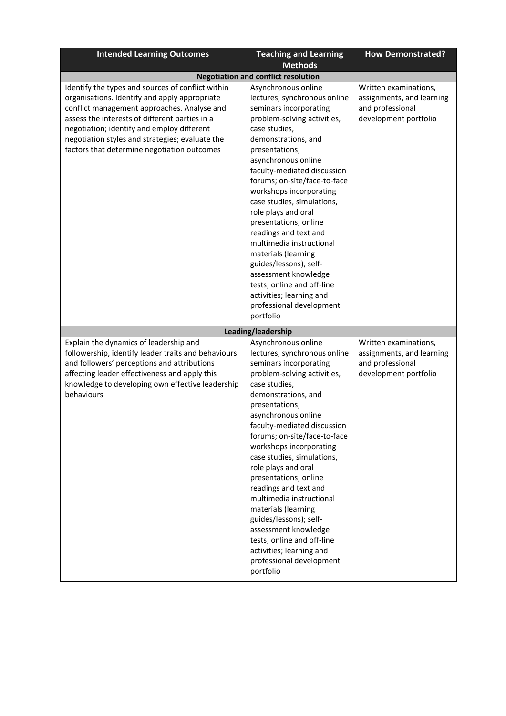| <b>Intended Learning Outcomes</b>                                                                                                                                                                                                                                                              | <b>Teaching and Learning</b>                                                                                                                                                                                                                                                                                                                                                                                                                                                                                                                                                                           | <b>How Demonstrated?</b>                                                                        |
|------------------------------------------------------------------------------------------------------------------------------------------------------------------------------------------------------------------------------------------------------------------------------------------------|--------------------------------------------------------------------------------------------------------------------------------------------------------------------------------------------------------------------------------------------------------------------------------------------------------------------------------------------------------------------------------------------------------------------------------------------------------------------------------------------------------------------------------------------------------------------------------------------------------|-------------------------------------------------------------------------------------------------|
|                                                                                                                                                                                                                                                                                                | <b>Methods</b>                                                                                                                                                                                                                                                                                                                                                                                                                                                                                                                                                                                         |                                                                                                 |
| Identify the types and sources of conflict within                                                                                                                                                                                                                                              | <b>Negotiation and conflict resolution</b><br>Asynchronous online                                                                                                                                                                                                                                                                                                                                                                                                                                                                                                                                      | Written examinations,                                                                           |
| organisations. Identify and apply appropriate<br>conflict management approaches. Analyse and<br>assess the interests of different parties in a<br>negotiation; identify and employ different<br>negotiation styles and strategies; evaluate the<br>factors that determine negotiation outcomes | lectures; synchronous online<br>seminars incorporating<br>problem-solving activities,<br>case studies,<br>demonstrations, and<br>presentations;<br>asynchronous online<br>faculty-mediated discussion<br>forums; on-site/face-to-face<br>workshops incorporating<br>case studies, simulations,<br>role plays and oral<br>presentations; online<br>readings and text and<br>multimedia instructional<br>materials (learning<br>guides/lessons); self-<br>assessment knowledge<br>tests; online and off-line<br>activities; learning and<br>professional development<br>portfolio                        | assignments, and learning<br>and professional<br>development portfolio                          |
|                                                                                                                                                                                                                                                                                                | Leading/leadership                                                                                                                                                                                                                                                                                                                                                                                                                                                                                                                                                                                     |                                                                                                 |
| Explain the dynamics of leadership and<br>followership, identify leader traits and behaviours<br>and followers' perceptions and attributions<br>affecting leader effectiveness and apply this<br>knowledge to developing own effective leadership<br>behaviours                                | Asynchronous online<br>lectures; synchronous online<br>seminars incorporating<br>problem-solving activities,<br>case studies,<br>demonstrations, and<br>presentations;<br>asynchronous online<br>faculty-mediated discussion<br>forums; on-site/face-to-face<br>workshops incorporating<br>case studies, simulations,<br>role plays and oral<br>presentations; online<br>readings and text and<br>multimedia instructional<br>materials (learning<br>guides/lessons); self-<br>assessment knowledge<br>tests; online and off-line<br>activities; learning and<br>professional development<br>portfolio | Written examinations,<br>assignments, and learning<br>and professional<br>development portfolio |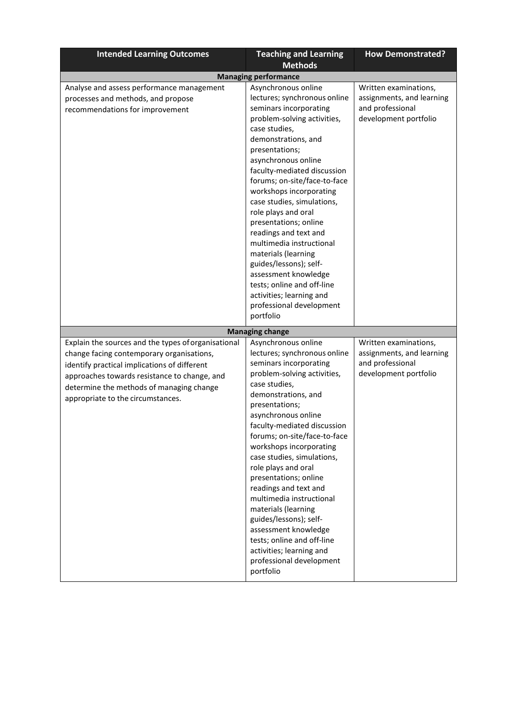| <b>Intended Learning Outcomes</b>                                                                                                                                                                                                                                                 | <b>Teaching and Learning</b><br><b>Methods</b>                                                                                                                                                                                                                                                                                                                                                                                                                                                                                                                                                                                   | <b>How Demonstrated?</b>                                                                        |
|-----------------------------------------------------------------------------------------------------------------------------------------------------------------------------------------------------------------------------------------------------------------------------------|----------------------------------------------------------------------------------------------------------------------------------------------------------------------------------------------------------------------------------------------------------------------------------------------------------------------------------------------------------------------------------------------------------------------------------------------------------------------------------------------------------------------------------------------------------------------------------------------------------------------------------|-------------------------------------------------------------------------------------------------|
|                                                                                                                                                                                                                                                                                   | <b>Managing performance</b>                                                                                                                                                                                                                                                                                                                                                                                                                                                                                                                                                                                                      |                                                                                                 |
| Analyse and assess performance management<br>processes and methods, and propose<br>recommendations for improvement                                                                                                                                                                | Asynchronous online<br>lectures; synchronous online<br>seminars incorporating<br>problem-solving activities,<br>case studies,<br>demonstrations, and<br>presentations;<br>asynchronous online<br>faculty-mediated discussion<br>forums; on-site/face-to-face<br>workshops incorporating<br>case studies, simulations,<br>role plays and oral<br>presentations; online<br>readings and text and<br>multimedia instructional<br>materials (learning<br>guides/lessons); self-<br>assessment knowledge<br>tests; online and off-line<br>activities; learning and<br>professional development<br>portfolio                           | Written examinations,<br>assignments, and learning<br>and professional<br>development portfolio |
|                                                                                                                                                                                                                                                                                   |                                                                                                                                                                                                                                                                                                                                                                                                                                                                                                                                                                                                                                  |                                                                                                 |
| Explain the sources and the types of organisational<br>change facing contemporary organisations,<br>identify practical implications of different<br>approaches towards resistance to change, and<br>determine the methods of managing change<br>appropriate to the circumstances. | <b>Managing change</b><br>Asynchronous online<br>lectures; synchronous online<br>seminars incorporating<br>problem-solving activities,<br>case studies,<br>demonstrations, and<br>presentations;<br>asynchronous online<br>faculty-mediated discussion<br>forums; on-site/face-to-face<br>workshops incorporating<br>case studies, simulations,<br>role plays and oral<br>presentations; online<br>readings and text and<br>multimedia instructional<br>materials (learning<br>guides/lessons); self-<br>assessment knowledge<br>tests; online and off-line<br>activities; learning and<br>professional development<br>portfolio | Written examinations,<br>assignments, and learning<br>and professional<br>development portfolio |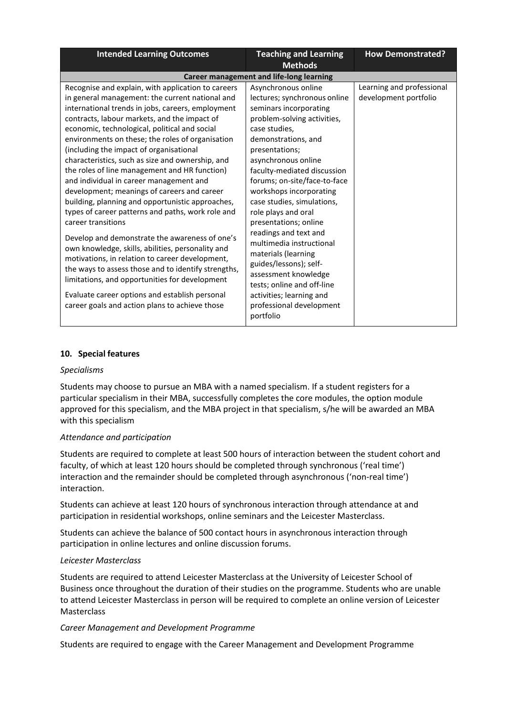| <b>Intended Learning Outcomes</b>                                                                                                                                                                                                                                                                                                                                                                                                                                                                                                                                                                                                                                                                                                                                                                                                                                                                                                                                                                                                                               | <b>Teaching and Learning</b>                                                                                                                                                                                                                                                                                                                                                                                                                                                                                                                                                                           | <b>How Demonstrated?</b>                           |
|-----------------------------------------------------------------------------------------------------------------------------------------------------------------------------------------------------------------------------------------------------------------------------------------------------------------------------------------------------------------------------------------------------------------------------------------------------------------------------------------------------------------------------------------------------------------------------------------------------------------------------------------------------------------------------------------------------------------------------------------------------------------------------------------------------------------------------------------------------------------------------------------------------------------------------------------------------------------------------------------------------------------------------------------------------------------|--------------------------------------------------------------------------------------------------------------------------------------------------------------------------------------------------------------------------------------------------------------------------------------------------------------------------------------------------------------------------------------------------------------------------------------------------------------------------------------------------------------------------------------------------------------------------------------------------------|----------------------------------------------------|
|                                                                                                                                                                                                                                                                                                                                                                                                                                                                                                                                                                                                                                                                                                                                                                                                                                                                                                                                                                                                                                                                 | <b>Methods</b>                                                                                                                                                                                                                                                                                                                                                                                                                                                                                                                                                                                         |                                                    |
| <b>Career management and life-long learning</b>                                                                                                                                                                                                                                                                                                                                                                                                                                                                                                                                                                                                                                                                                                                                                                                                                                                                                                                                                                                                                 |                                                                                                                                                                                                                                                                                                                                                                                                                                                                                                                                                                                                        |                                                    |
| Recognise and explain, with application to careers<br>in general management: the current national and<br>international trends in jobs, careers, employment<br>contracts, labour markets, and the impact of<br>economic, technological, political and social<br>environments on these; the roles of organisation<br>(including the impact of organisational<br>characteristics, such as size and ownership, and<br>the roles of line management and HR function)<br>and individual in career management and<br>development; meanings of careers and career<br>building, planning and opportunistic approaches,<br>types of career patterns and paths, work role and<br>career transitions<br>Develop and demonstrate the awareness of one's<br>own knowledge, skills, abilities, personality and<br>motivations, in relation to career development,<br>the ways to assess those and to identify strengths,<br>limitations, and opportunities for development<br>Evaluate career options and establish personal<br>career goals and action plans to achieve those | Asynchronous online<br>lectures; synchronous online<br>seminars incorporating<br>problem-solving activities,<br>case studies,<br>demonstrations, and<br>presentations;<br>asynchronous online<br>faculty-mediated discussion<br>forums; on-site/face-to-face<br>workshops incorporating<br>case studies, simulations,<br>role plays and oral<br>presentations; online<br>readings and text and<br>multimedia instructional<br>materials (learning<br>guides/lessons); self-<br>assessment knowledge<br>tests; online and off-line<br>activities; learning and<br>professional development<br>portfolio | Learning and professional<br>development portfolio |

### **10. Special features**

#### *Specialisms*

Students may choose to pursue an MBA with a named specialism. If a student registers for a particular specialism in their MBA, successfully completes the core modules, the option module approved for this specialism, and the MBA project in that specialism, s/he will be awarded an MBA with this specialism

### *Attendance and participation*

Students are required to complete at least 500 hours of interaction between the student cohort and faculty, of which at least 120 hours should be completed through synchronous ('real time') interaction and the remainder should be completed through asynchronous ('non-real time') interaction.

Students can achieve at least 120 hours of synchronous interaction through attendance at and participation in residential workshops, online seminars and the Leicester Masterclass.

Students can achieve the balance of 500 contact hours in asynchronous interaction through participation in online lectures and online discussion forums.

### *Leicester Masterclass*

Students are required to attend Leicester Masterclass at the University of Leicester School of Business once throughout the duration of their studies on the programme. Students who are unable to attend Leicester Masterclass in person will be required to complete an online version of Leicester **Masterclass** 

### *Career Management and Development Programme*

Students are required to engage with the Career Management and Development Programme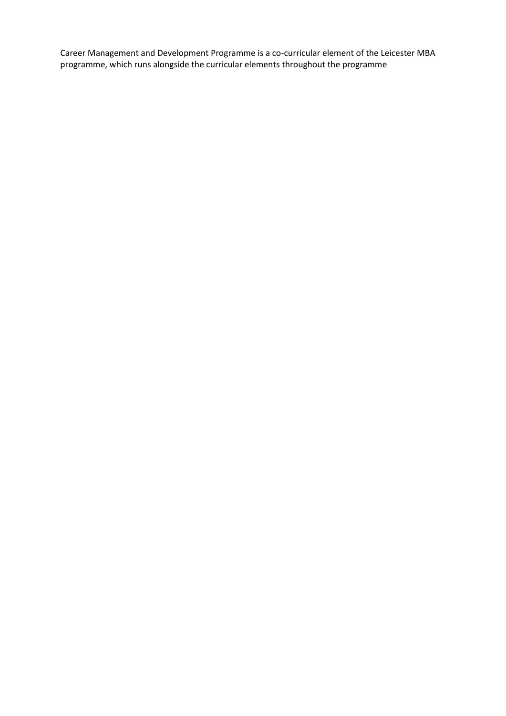Career Management and Development Programme is a co-curricular element of the Leicester MBA programme, which runs alongside the curricular elements throughout the programme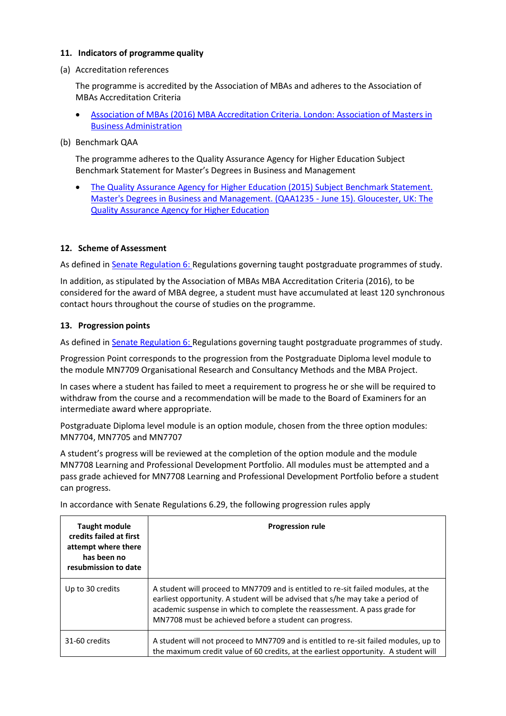## **11. Indicators of programme quality**

(a) Accreditation references

The programme is accredited by the Association of MBAs and adheres to the Association of MBAs Accreditation Criteria

- [Association of MBAs \(2016\) MBA Accreditation Criteria. London: Association of Masters in](http://www.mbaworld.com/~/media/Files/Accreditation/MBA-criteria-for-accreditation.ashx)  Business [Administration](http://www.mbaworld.com/~/media/Files/Accreditation/MBA-criteria-for-accreditation.ashx)
- (b) Benchmark QAA

The programme adheres to the Quality Assurance Agency for Higher Education Subject Benchmark Statement for Master's Degrees in Business and Management

 [The Quality Assurance Agency for Higher Education \(2015\) Subject Benchmark Statement.](http://www.qaa.ac.uk/en/Publications/Documents/SBS-Business-and%20Management-15.pdf)  [Master's Degrees in Business and Management. \(QAA1235 -](http://www.qaa.ac.uk/en/Publications/Documents/SBS-Business-and%20Management-15.pdf) June 15). Gloucester, UK: The [Quality Assurance Agency for Higher](http://www.qaa.ac.uk/en/Publications/Documents/SBS-Business-and%20Management-15.pdf) Education

## **12. Scheme of Assessment**

As defined i[n Senate Regulation 6: R](http://www.le.ac.uk/senate-regulation6)egulations governing taught postgraduate programmes of study.

In addition, as stipulated by the Association of MBAs MBA Accreditation Criteria (2016), to be considered for the award of MBA degree, a student must have accumulated at least 120 synchronous contact hours throughout the course of studies on the programme.

### **13. Progression points**

As defined i[n Senate Regulation 6: R](http://www.le.ac.uk/senate-regulation6)egulations governing taught postgraduate programmes of study.

Progression Point corresponds to the progression from the Postgraduate Diploma level module to the module MN7709 Organisational Research and Consultancy Methods and the MBA Project.

In cases where a student has failed to meet a requirement to progress he or she will be required to withdraw from the course and a recommendation will be made to the Board of Examiners for an intermediate award where appropriate.

Postgraduate Diploma level module is an option module, chosen from the three option modules: MN7704, MN7705 and MN7707

A student's progress will be reviewed at the completion of the option module and the module MN7708 Learning and Professional Development Portfolio. All modules must be attempted and a pass grade achieved for MN7708 Learning and Professional Development Portfolio before a student can progress.

In accordance with Senate Regulations 6.29, the following progression rules apply

| <b>Taught module</b><br>credits failed at first<br>attempt where there<br>has been no<br>resubmission to date | <b>Progression rule</b>                                                                                                                                                                                                                                                                                    |
|---------------------------------------------------------------------------------------------------------------|------------------------------------------------------------------------------------------------------------------------------------------------------------------------------------------------------------------------------------------------------------------------------------------------------------|
| Up to 30 credits                                                                                              | A student will proceed to MN7709 and is entitled to re-sit failed modules, at the<br>earliest opportunity. A student will be advised that s/he may take a period of<br>academic suspense in which to complete the reassessment. A pass grade for<br>MN7708 must be achieved before a student can progress. |
| 31-60 credits                                                                                                 | A student will not proceed to MN7709 and is entitled to re-sit failed modules, up to<br>the maximum credit value of 60 credits, at the earliest opportunity. A student will                                                                                                                                |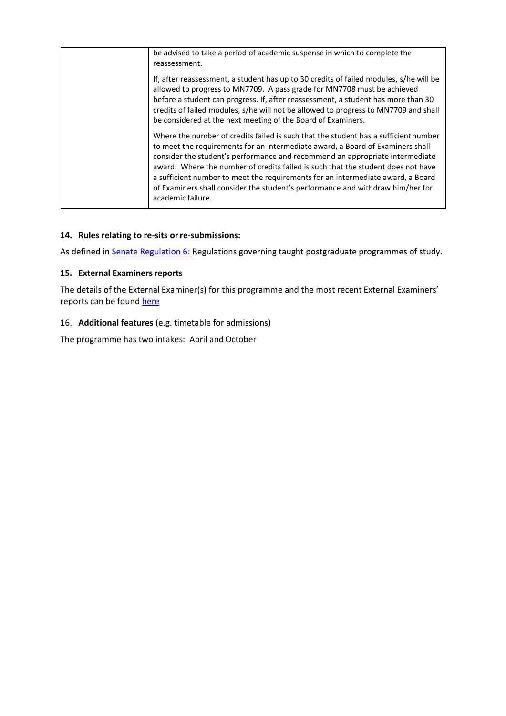| be advised to take a period of academic suspense in which to complete the<br>reassessment.                                                                                                                                                                                                                                                                                                                                                                                                                                          |
|-------------------------------------------------------------------------------------------------------------------------------------------------------------------------------------------------------------------------------------------------------------------------------------------------------------------------------------------------------------------------------------------------------------------------------------------------------------------------------------------------------------------------------------|
| If, after reassessment, a student has up to 30 credits of failed modules, s/he will be<br>allowed to progress to MN7709. A pass grade for MN7708 must be achieved<br>before a student can progress. If, after reassessment, a student has more than 30<br>credits of failed modules, s/he will not be allowed to progress to MN7709 and shall<br>be considered at the next meeting of the Board of Examiners.                                                                                                                       |
| Where the number of credits failed is such that the student has a sufficient number<br>to meet the requirements for an intermediate award, a Board of Examiners shall<br>consider the student's performance and recommend an appropriate intermediate<br>award. Where the number of credits failed is such that the student does not have<br>a sufficient number to meet the requirements for an intermediate award, a Board<br>of Examiners shall consider the student's performance and withdraw him/her for<br>academic failure. |

## **14. Rules relating to re-sits orre-submissions:**

As defined in **Senate Regulation 6:** Regulations governing taught postgraduate programmes of study.

### **15. External Examinersreports**

The details of the External Examiner(s) for this programme and the most recent External Examiners' reports can be found [here](https://exampapers.le.ac.uk/xmlui/handle/123456789/168)

## 16. **Additional features** (e.g. timetable for admissions)

The programme has two intakes: April and October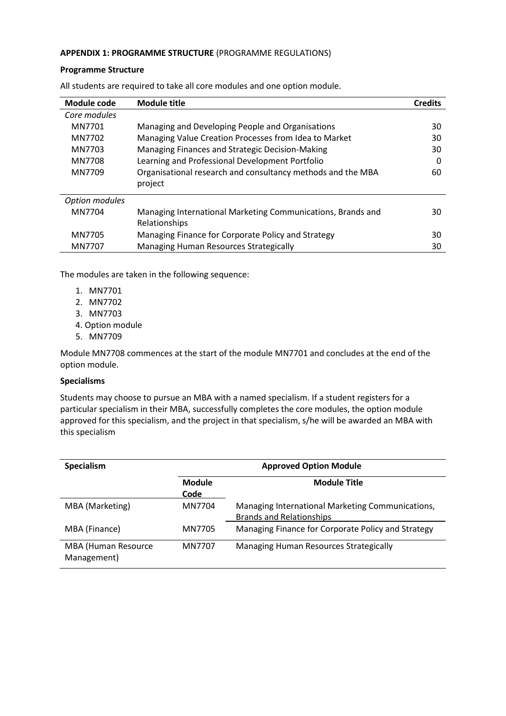#### **APPENDIX 1: PROGRAMME STRUCTURE** (PROGRAMME REGULATIONS)

#### **Programme Structure**

| Module code           | <b>Module title</b>                                         | <b>Credits</b> |  |
|-----------------------|-------------------------------------------------------------|----------------|--|
| Core modules          |                                                             |                |  |
| MN7701                | Managing and Developing People and Organisations            |                |  |
| MN7702                | Managing Value Creation Processes from Idea to Market       |                |  |
| MN7703                | Managing Finances and Strategic Decision-Making             |                |  |
| MN7708                | Learning and Professional Development Portfolio             |                |  |
| MN7709                | Organisational research and consultancy methods and the MBA |                |  |
|                       | project                                                     |                |  |
| <b>Option modules</b> |                                                             |                |  |
| MN7704                | Managing International Marketing Communications, Brands and | 30             |  |
|                       | Relationships                                               |                |  |
| MN7705                | Managing Finance for Corporate Policy and Strategy          |                |  |
| MN7707                | Managing Human Resources Strategically                      | 30             |  |

All students are required to take all core modules and one option module.

The modules are taken in the following sequence:

- 1. MN7701
- 2. MN7702
- 3. MN7703
- 4. Option module
- 5. MN7709

Module MN7708 commences at the start of the module MN7701 and concludes at the end of the option module.

### **Specialisms**

Students may choose to pursue an MBA with a named specialism. If a student registers for a particular specialism in their MBA, successfully completes the core modules, the option module approved for this specialism, and the project in that specialism, s/he will be awarded an MBA with this specialism

| Specialism                         |                       | <b>Approved Option Module</b>                                                       |  |
|------------------------------------|-----------------------|-------------------------------------------------------------------------------------|--|
|                                    | <b>Module</b><br>Code | <b>Module Title</b>                                                                 |  |
| MBA (Marketing)                    | MN7704                | Managing International Marketing Communications,<br><b>Brands and Relationships</b> |  |
| MBA (Finance)                      | MN7705                | Managing Finance for Corporate Policy and Strategy                                  |  |
| MBA (Human Resource<br>Management) | MN7707                | Managing Human Resources Strategically                                              |  |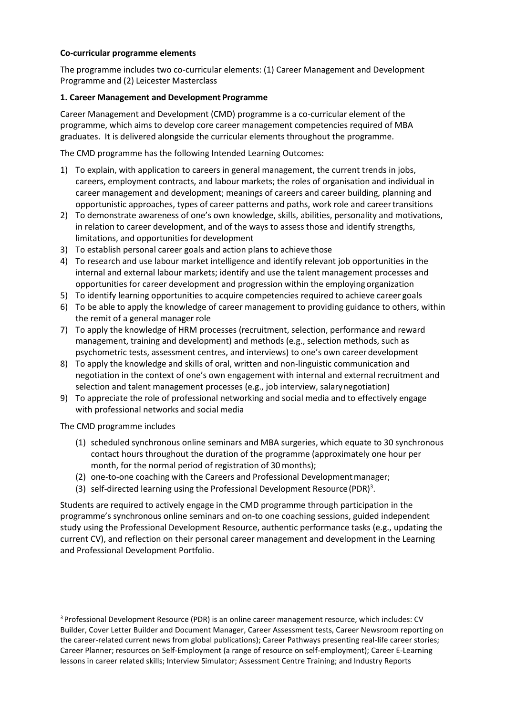### **Co-curricular programme elements**

The programme includes two co-curricular elements: (1) Career Management and Development Programme and (2) Leicester Masterclass

## **1. Career Management and Development Programme**

Career Management and Development (CMD) programme is a co-curricular element of the programme, which aims to develop core career management competencies required of MBA graduates. It is delivered alongside the curricular elements throughout the programme.

The CMD programme has the following Intended Learning Outcomes:

- 1) To explain, with application to careers in general management, the current trends in jobs, careers, employment contracts, and labour markets; the roles of organisation and individual in career management and development; meanings of careers and career building, planning and opportunistic approaches, types of career patterns and paths, work role and careertransitions
- 2) To demonstrate awareness of one's own knowledge, skills, abilities, personality and motivations, in relation to career development, and of the ways to assess those and identify strengths, limitations, and opportunities for development
- 3) To establish personal career goals and action plans to achieve those
- 4) To research and use labour market intelligence and identify relevant job opportunities in the internal and external labour markets; identify and use the talent management processes and opportunities for career development and progression within the employing organization
- 5) To identify learning opportunities to acquire competencies required to achieve career goals
- 6) To be able to apply the knowledge of career management to providing guidance to others, within the remit of a general manager role
- 7) To apply the knowledge of HRM processes (recruitment, selection, performance and reward management, training and development) and methods (e.g., selection methods, such as psychometric tests, assessment centres, and interviews) to one's own career development
- 8) To apply the knowledge and skills of oral, written and non-linguistic communication and negotiation in the context of one's own engagement with internal and external recruitment and selection and talent management processes (e.g., job interview, salarynegotiation)
- 9) To appreciate the role of professional networking and social media and to effectively engage with professional networks and social media

The CMD programme includes

- (1) scheduled synchronous online seminars and MBA surgeries, which equate to 30 synchronous contact hours throughout the duration of the programme (approximately one hour per month, for the normal period of registration of 30 months);
- (2) one-to-one coaching with the Careers and Professional Developmentmanager;
- (3) self-directed learning using the Professional Development Resource (PDR)<sup>3</sup>.

Students are required to actively engage in the CMD programme through participation in the programme's synchronous online seminars and on-to one coaching sessions, guided independent study using the Professional Development Resource, authentic performance tasks (e.g., updating the current CV), and reflection on their personal career management and development in the Learning and Professional Development Portfolio.

<sup>&</sup>lt;sup>3</sup> Professional Development Resource (PDR) is an online career management resource, which includes: CV Builder, Cover Letter Builder and Document Manager, Career Assessment tests, Career Newsroom reporting on the career-related current news from global publications); Career Pathways presenting real-life career stories; Career Planner; resources on Self-Employment (a range of resource on self-employment); Career E-Learning lessons in career related skills; Interview Simulator; Assessment Centre Training; and Industry Reports